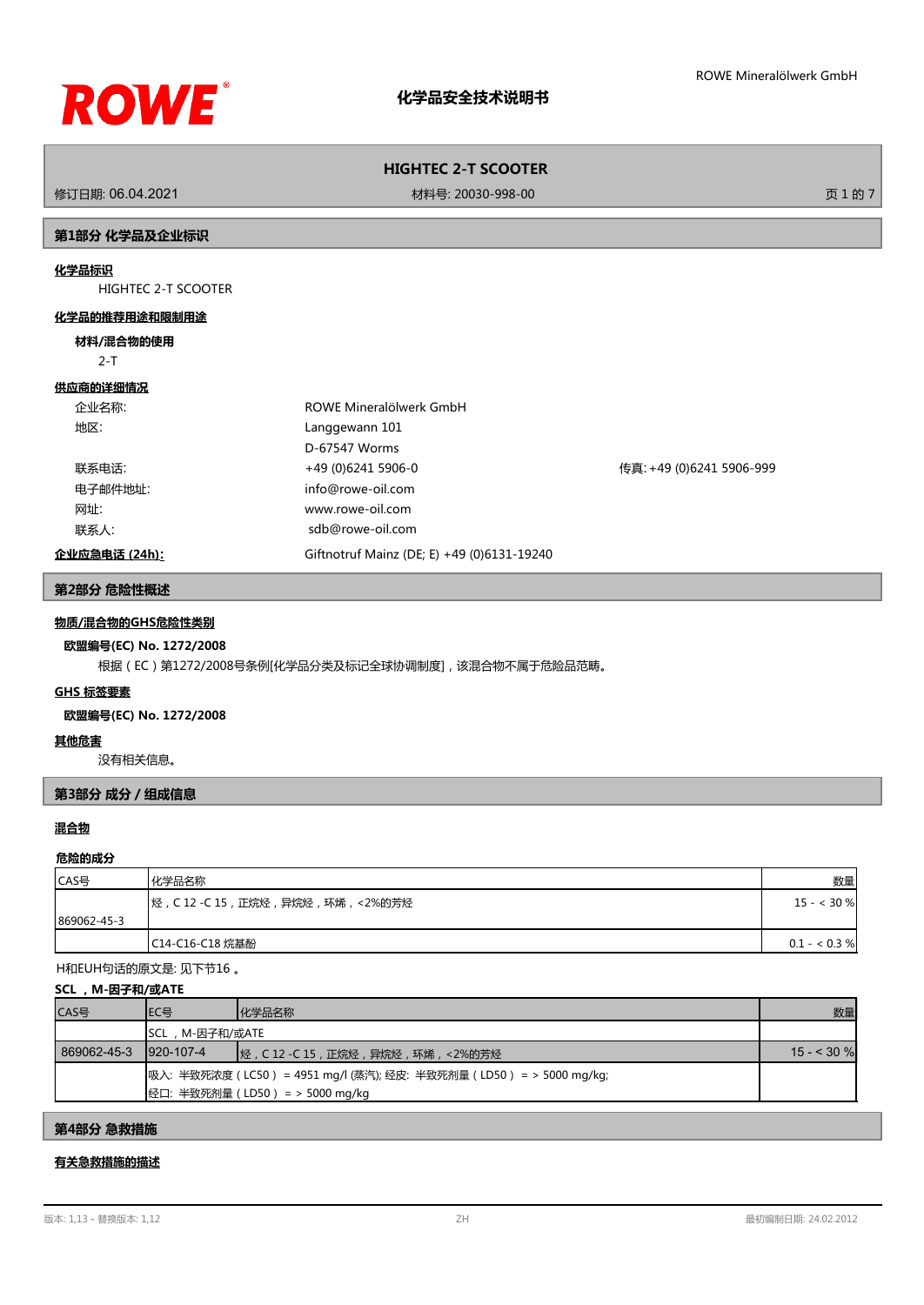

修订日期: 06.04.2021 材料号: 20030-998-00 页 1 的 7

# **第1部分 化学品及企业标识**

# **化学品标识**

HIGHTEC 2-T SCOOTER

# **化学品的推荐用途和限制用途**

#### **材料/混合物的使用**

2-T

#### **供应商的详细情况**

| 企业名称:         | ROWE Mineralölwerk GmbH                    |                          |
|---------------|--------------------------------------------|--------------------------|
| 地区:           | Langgewann 101                             |                          |
|               | D-67547 Worms                              |                          |
| 联系电话:         | +49 (0)6241 5906-0                         | 传真: +49 (0)6241 5906-999 |
| 电子邮件地址:       | info@rowe-oil.com                          |                          |
| 网址:           | www.rowe-oil.com                           |                          |
| 联系人:          | sdb@rowe-oil.com                           |                          |
| 企业应急电话 (24h): | Giftnotruf Mainz (DE; E) +49 (0)6131-19240 |                          |

## **第2部分 危险性概述**

# **物质/混合物的GHS危险性类别**

# **欧盟编号(EC) No. 1272/2008**

根据(EC)第1272/2008号条例[化学品分类及标记全球协调制度],该混合物不属于危险品范畴。

# **GHS 标签要素**

# **欧盟编号(EC) No. 1272/2008**

## **其他危害**

没有相关信息。

# **第3部分 成分/组成信息**

# **混合物**

#### **危险的成分**

| CAS号        | 化学品名称                                     | 数量            |
|-------------|-------------------------------------------|---------------|
|             | ┃烃 , C 12 -C 15 , 正烷烃 , 异烷烃 , 环烯 , <2%的芳烃 | $15 - < 30 %$ |
| 869062-45-3 |                                           |               |
|             | C14-C16-C18 烷基酚                           | $0.1 - 0.3 %$ |

H和EUH句话的原文是: 见下节16 。

#### **SCL ,M-因子和/或ATE**

| CAS号        | IEC목           | 化学品名称                                                                                                       | 数量          |
|-------------|----------------|-------------------------------------------------------------------------------------------------------------|-------------|
|             | SCL,M-因子和/或ATE |                                                                                                             |             |
| 869062-45-3 | 1920-107-4     |                                                                                                             | $15 - 30$ % |
|             |                | 吸入: 半致死浓度 ( LC50 ) = 4951 mg/l (蒸汽); 经皮: 半致死剂量 ( LD50 ) = > 5000 mg/kg;<br> 经口: 半致死剂量 (LD50) = > 5000 mg/kg |             |

# **第4部分 急救措施**

# **有关急救措施的描述**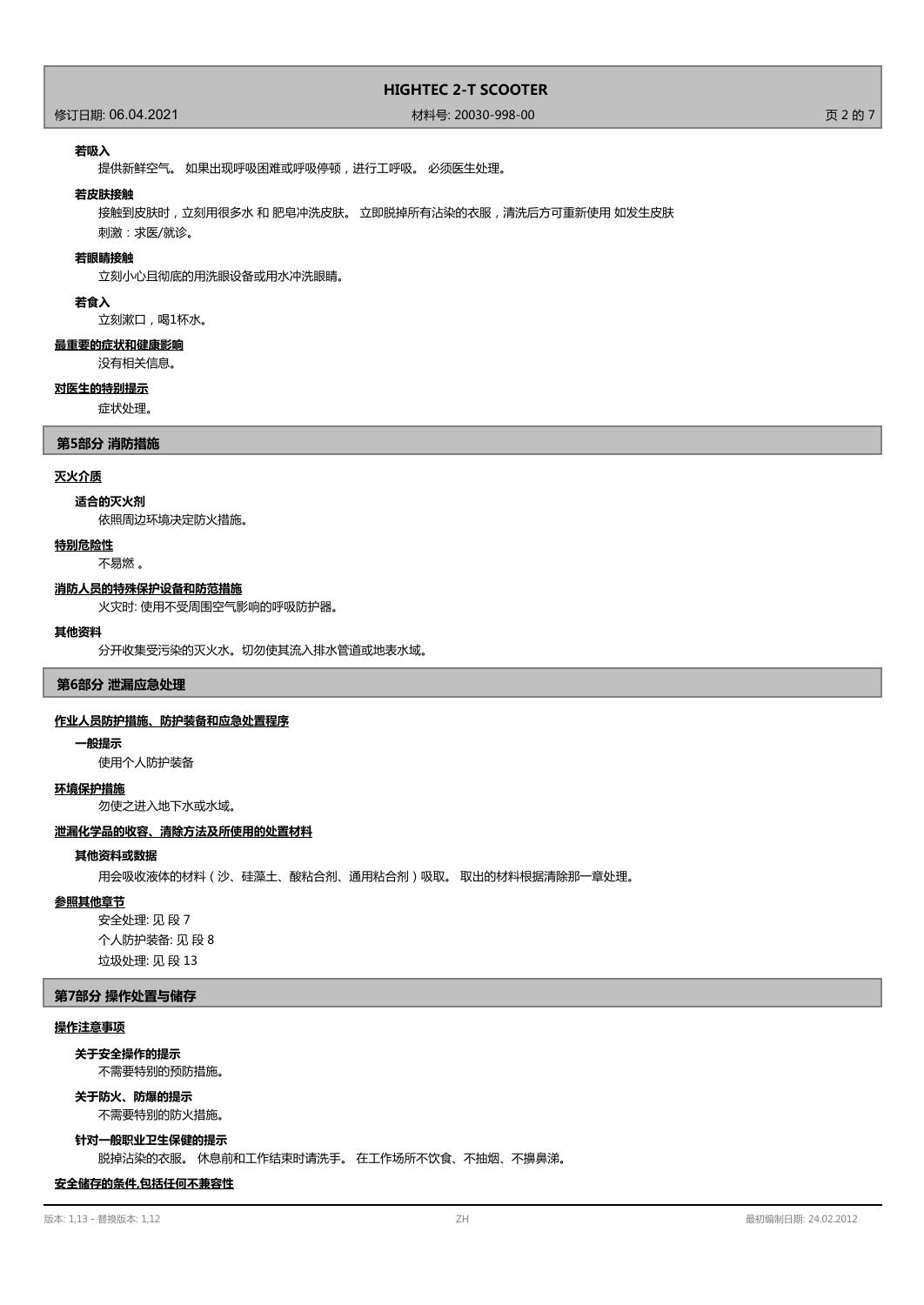# 修订日期: 06.04.2021 材料号: 20030-998-00 页 2 的 7

#### **若吸入**

提供新鲜空气。 如果出现呼吸困难或呼吸停顿,进行工呼吸。 必须医生处理。

#### **若皮肤接触**

接触到皮肤时,立刻用很多水 和 肥皂冲洗皮肤。 立即脱掉所有沾染的衣服,清洗后方可重新使用 如发生皮肤

刺激:求医/就诊。

# **若眼睛接触**

立刻小心且彻底的用洗眼设备或用水冲洗眼睛。

# **若食入**

立刻漱口,喝1杯水。

# **最重要的症状和健康影响**

没有相关信息。

#### **对医生的特别提示**

症状处理。

## **第5部分 消防措施**

## **灭火介质**

#### **适合的灭火剂**

依照周边环境决定防火措施。

# **特别危险性**

不易燃 。

#### **消防人员的特殊保护设备和防范措施**

火灾时: 使用不受周围空气影响的呼吸防护器。

#### **其他资料**

分开收集受污染的灭火水。切勿使其流入排水管道或地表水域。

## **第6部分 泄漏应急处理**

#### **作业人员防护措施、防护装备和应急处置程序**

#### **一般提示**

使用个人防护装备

#### **环境保护措施**

勿使之进入地下水或水域。

#### **泄漏化学品的收容、清除方法及所使用的处置材料**

#### **其他资料或数据**

用会吸收液体的材料(沙、硅藻土、酸粘合剂、通用粘合剂)吸取。 取出的材料根据清除那一章处理。

#### **参照其他章节**

安全处理: 见 段 7 个人防护装备: 见 段 8 垃圾处理: 见 段 13

## **第7部分 操作处置与储存**

# **操作注意事项**

#### **关于安全操作的提示**

不需要特别的预防措施。

## 不需要特别的防火措施。 **关于防火、防爆的提示**

**针对一般职业卫生保健的提示**

脱掉沾染的衣服。 休息前和工作结束时请洗手。 在工作场所不饮食、不抽烟、不擤鼻涕。

#### **安全储存的条件,包括任何不兼容性**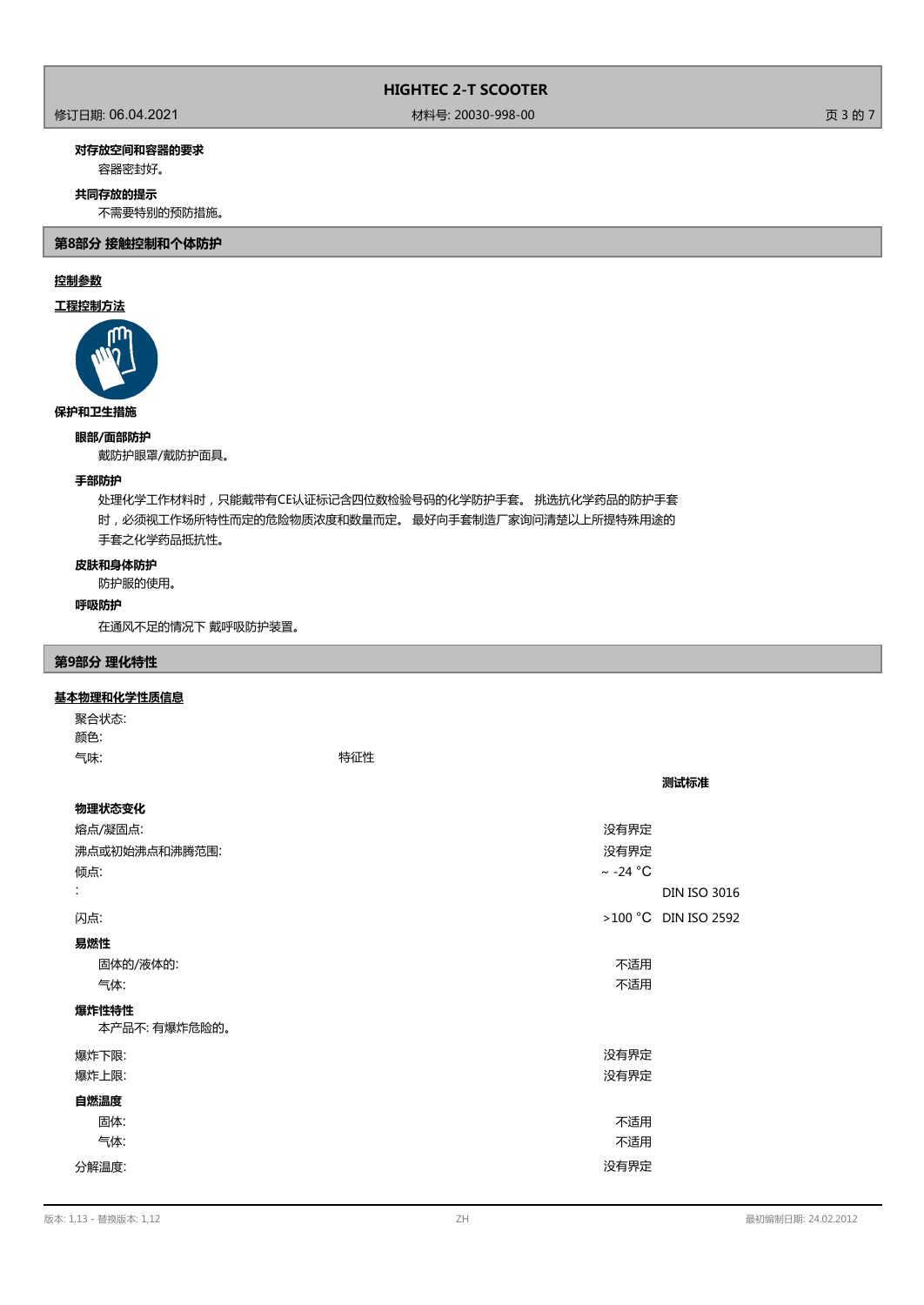# 修订日期: 06.04.2021 材料号: 20030-998-00 页 3 的 7

# **对存放空间和容器的要求**

容器密封好。

# **共同存放的提示**

不需要特别的预防措施。

**第8部分 接触控制和个体防护**

# **控制参数**

# **工程控制方法**



# **保护和卫生措施**

**眼部/面部防护**

戴防护眼罩/戴防护面具。

# **手部防护**

处理化学工作材料时,只能戴带有CE认证标记含四位数检验号码的化学防护手套。 挑选抗化学药品的防护手套 时,必须视工作场所特性而定的危险物质浓度和数量而定。 最好向手套制造厂家询问清楚以上所提特殊用途的 手套之化学药品抵抗性。

# **皮肤和身体防护**

防护服的使用。

# **呼吸防护**

在通风不足的情况下 戴呼吸防护装置。

# **第9部分 理化特性**

# **基本物理和化学性质信息**

聚合状态: 颜色: 气味: 特征性

| 物理状态变化        |               |                        |
|---------------|---------------|------------------------|
| 熔点/凝固点:       | 没有界定          |                        |
| 沸点或初始沸点和沸腾范围: | 没有界定          |                        |
| 倾点:           | $\sim$ -24 °C |                        |
| ÷             |               | <b>DIN ISO 3016</b>    |
| 闪点:           |               | $>100$ °C DIN ISO 2592 |
| 易燃性           |               |                        |
| 固体的/液体的:      | 不适用           |                        |
| 气体:           | 不适用           |                        |
| 爆炸性特性         |               |                        |
| 本产品不:有爆炸危险的。  |               |                        |
| 爆炸下限:         | 没有界定          |                        |
| 爆炸上限:         | 没有界定          |                        |
| 自燃温度          |               |                        |
| 固体:           | 不适用           |                        |
| 气体:           | 不适用           |                        |
| 分解温度:         | 没有界定          |                        |

**测试标准**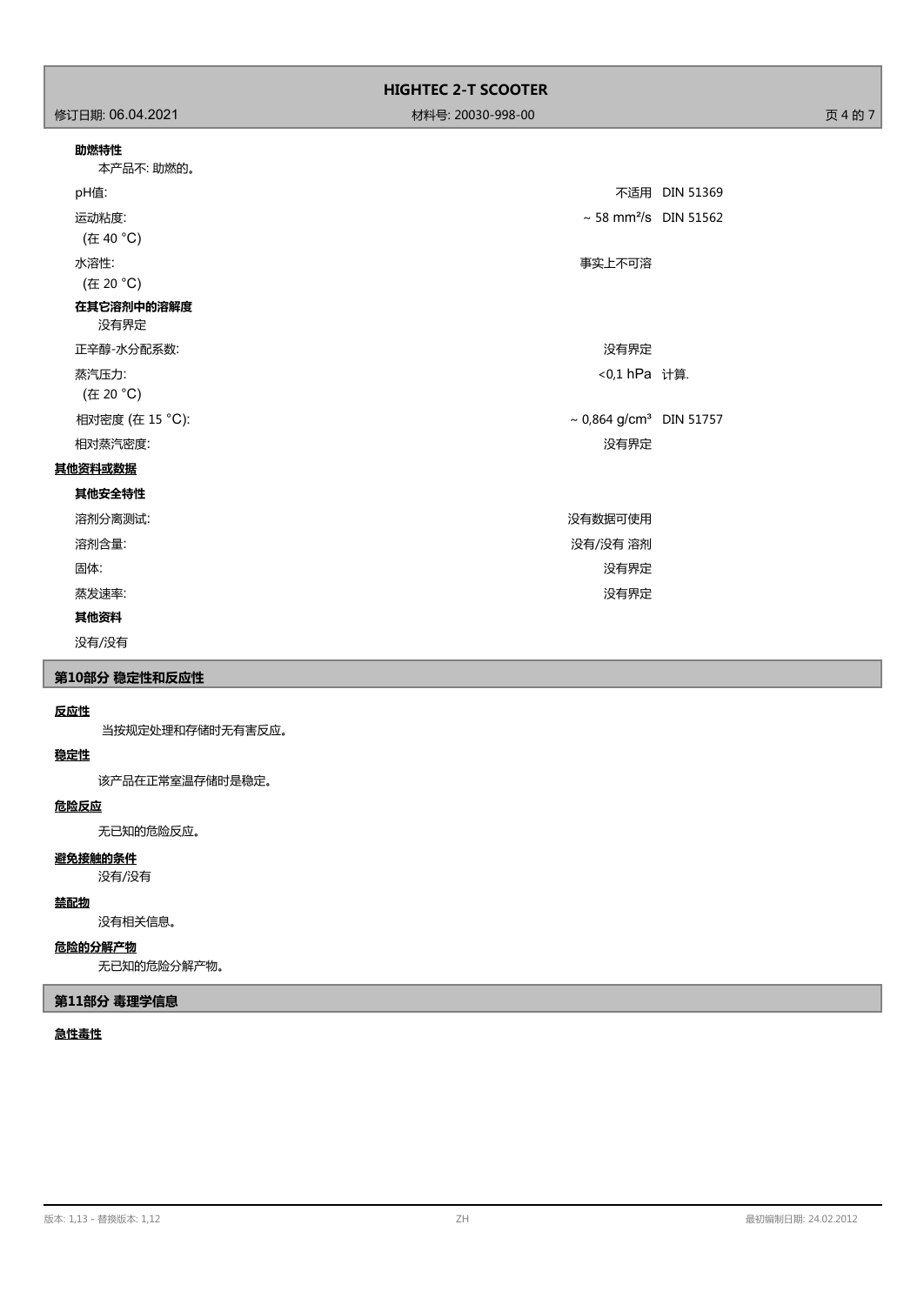| 助燃特性 |  |
|------|--|

|          | 不适用 DIN 51369                                                                                   |
|----------|-------------------------------------------------------------------------------------------------|
|          |                                                                                                 |
| 事实上不可溶   |                                                                                                 |
|          |                                                                                                 |
| 没有界定     |                                                                                                 |
|          |                                                                                                 |
|          |                                                                                                 |
| 没有界定     |                                                                                                 |
|          |                                                                                                 |
|          |                                                                                                 |
| 没有数据可使用  |                                                                                                 |
| 没有/没有 溶剂 |                                                                                                 |
| 没有界定     |                                                                                                 |
| 没有界定     |                                                                                                 |
|          |                                                                                                 |
|          | $\sim$ 58 mm <sup>2</sup> /s DIN 51562<br><0,1 hPa 计算.<br>~ $0,864$ g/cm <sup>3</sup> DIN 51757 |

没有/没有

# **第10部分 稳定性和反应性**

# **反应性**

当按规定处理和存储时无有害反应。

# **稳定性**

该产品在正常室温存储时是稳定。

# **危险反应**

无已知的危险反应。

# **避免接触的条件**

没有/没有

# **禁配物**

没有相关信息。

# **危险的分解产物**

无已知的危险分解产物。

# **第11部分 毒理学信息**

# **急性毒性**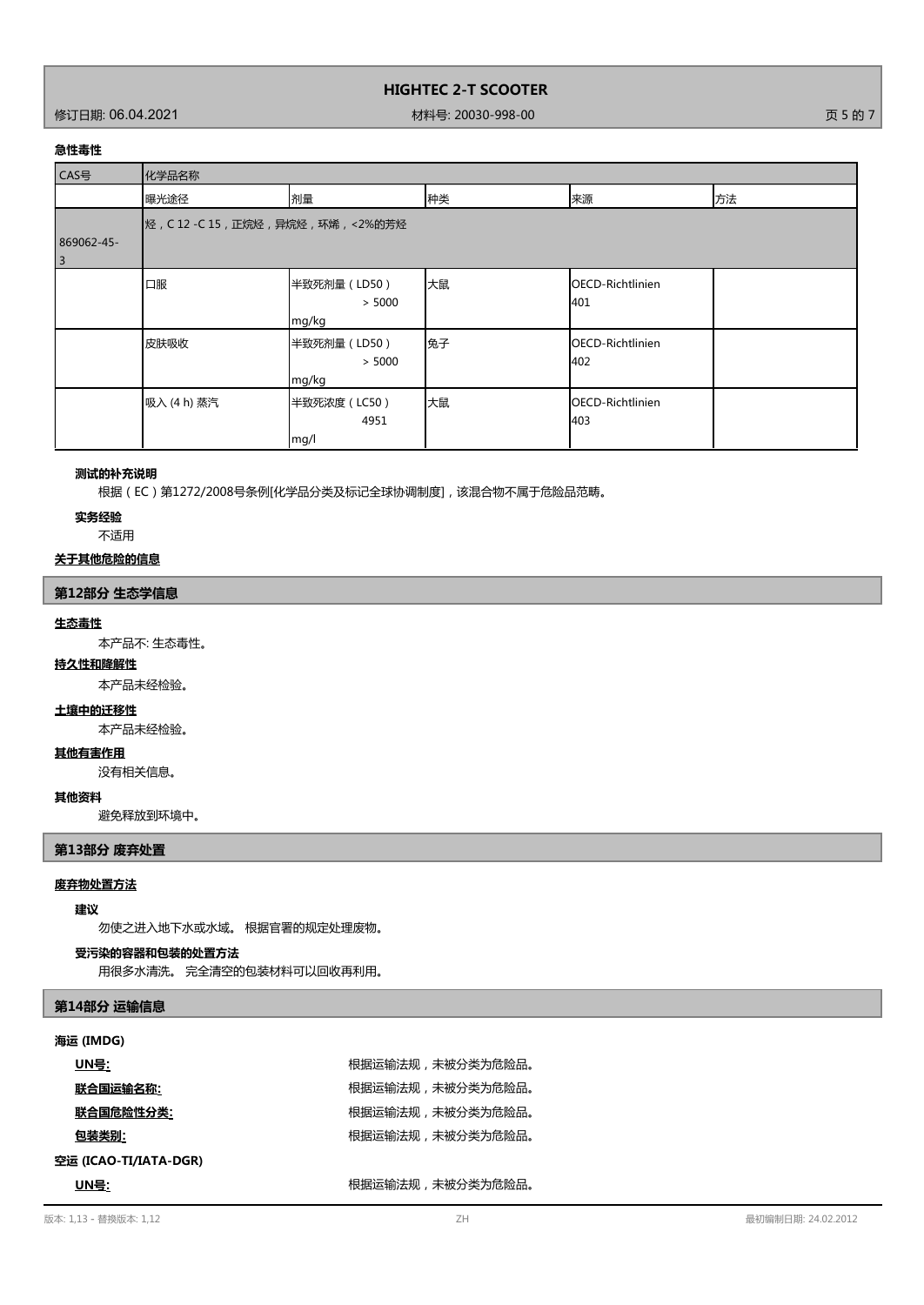修订日期: 06.04.2021 材料号: 20030-998-00 页 5 的 7

# **急性毒性**

| CAS号                         | 化学品名称                               |                                 |    |                                |    |
|------------------------------|-------------------------------------|---------------------------------|----|--------------------------------|----|
|                              | 曝光途径                                | 剂量                              | 种类 | 来源                             | 方法 |
| 869062-45-<br>$\overline{3}$ | 烃, C 12 -C 15, 正烷烃, 异烷烃, 环烯, <2%的芳烃 |                                 |    |                                |    |
|                              | 口服                                  | 半致死剂量 (LD50)<br>> 5000<br>mg/kg | 大鼠 | OECD-Richtlinien<br>401        |    |
|                              | 皮肤吸收                                | 半致死剂量 (LD50)<br>> 5000<br>mg/kg | 兔子 | OECD-Richtlinien<br>402        |    |
|                              | 吸入 (4 h) 蒸汽                         | 半致死浓度 (LC50)<br>4951<br>mg/l    | 大鼠 | <b>OECD-Richtlinien</b><br>403 |    |

### **测试的补充说明**

根据(EC)第1272/2008号条例[化学品分类及标记全球协调制度],该混合物不属于危险品范畴。

#### **实务经验**

不适用

# **关于其他危险的信息**

# **第12部分 生态学信息**

#### **生态毒性**

本产品不: 生态毒性。

# **持久性和降解性**

本产品未经检验。

### **土壤中的迁移性**

本产品未经检验。

#### **其他有害作用**

没有相关信息。

#### **其他资料**

避免释放到环境中。

# **第13部分 废弃处置**

# **废弃物处置方法**

#### **建议**

勿使之进入地下水或水域。 根据官署的规定处理废物。

#### **受污染的容器和包装的处置方法**

用很多水清洗。 完全清空的包装材料可以回收再利用。

# **第14部分 运输信息**

# **海运 (IMDG)**

| UN号:                  | 根据运输法规,未被分类为危险品。 |
|-----------------------|------------------|
| 联合国运输名称:              | 根据运输法规,未被分类为危险品。 |
| 联合国危险性分类:             | 根据运输法规,未被分类为危险品。 |
| 包装类别:                 | 根据运输法规,未被分类为危险品。 |
| 空运 (ICAO-TI/IATA-DGR) |                  |
| UN号:                  | 根据运输法规,未被分类为危险品。 |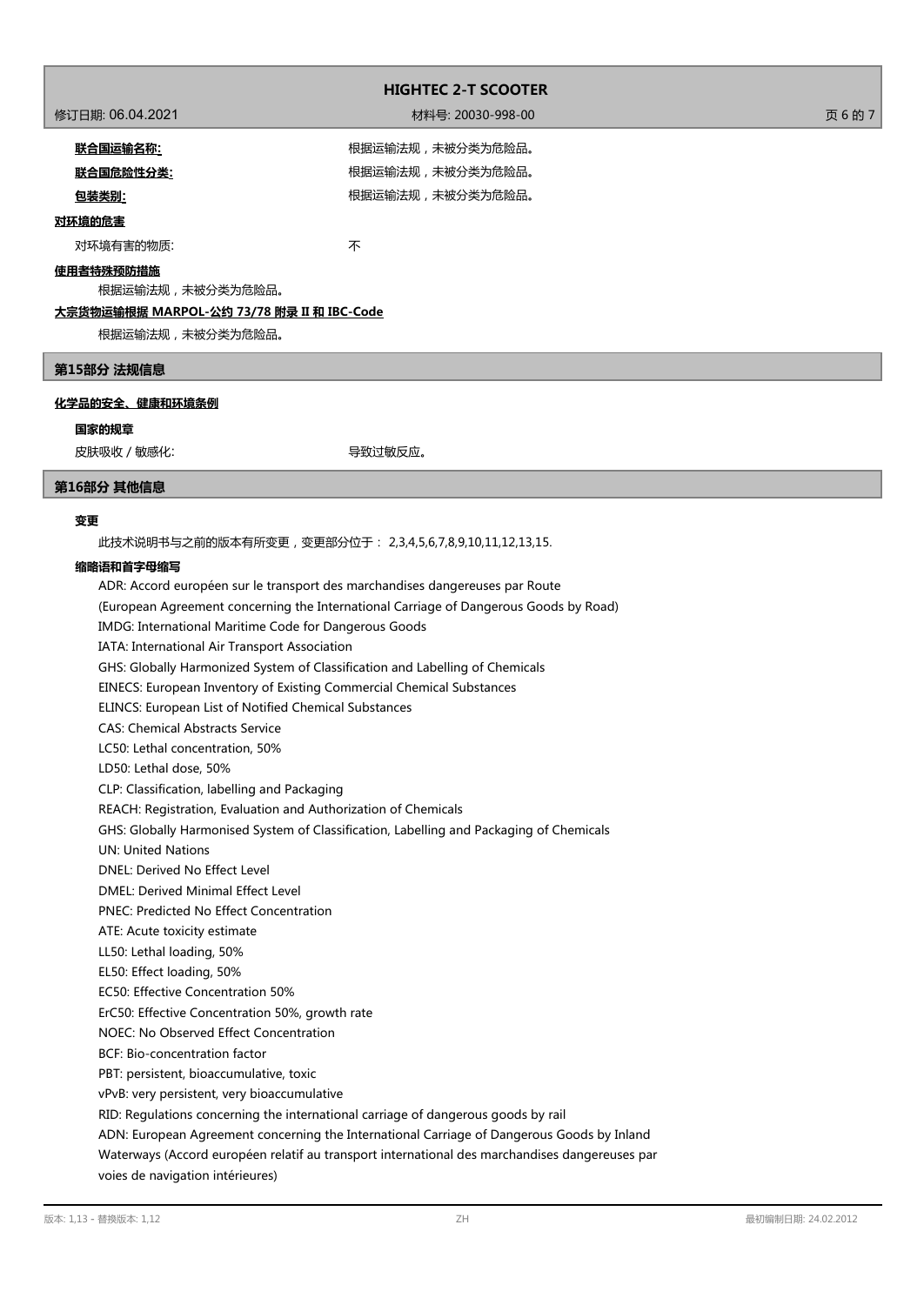|                                           | <b>HIGHTEC 2-T SCOOTER</b> |         |
|-------------------------------------------|----------------------------|---------|
| 修订日期: 06.04.2021                          | 材料号: 20030-998-00          | 页 6 的 7 |
| <u>联合国运输名称:</u>                           | 根据运输法规,未被分类为危险品。           |         |
| 联合国危险性分类:                                 | 根据运输法规,未被分类为危险品。           |         |
| <u>包装类别:</u>                              | 根据运输法规,未被分类为危险品。           |         |
| 对环境的危害                                    |                            |         |
| 对环境有害的物质:                                 | 不                          |         |
| 使用者特殊预防措施<br>根据运输法规,未被分类为危险品。             |                            |         |
| 大宗货物运输根据 MARPOL-公约 73/78 附录 II 和 IBC-Code |                            |         |
| 根据运输法规,未被分类为危险品。                          |                            |         |
| 第15部分 法规信息                                |                            |         |

# **化学品的安全、健康和环境条例**

#### **国家的规章**

皮肤吸收 / 敏感化: 导致过敏反应。

### **第16部分 其他信息**

# **变更**

此技术说明书与之前的版本有所变更,变更部分位于: 2,3,4,5,6,7,8,9,10,11,12,13,15.

#### **缩略语和首字母缩写**

ADR: Accord européen sur le transport des marchandises dangereuses par Route (European Agreement concerning the International Carriage of Dangerous Goods by Road) IMDG: International Maritime Code for Dangerous Goods IATA: International Air Transport Association GHS: Globally Harmonized System of Classification and Labelling of Chemicals EINECS: European Inventory of Existing Commercial Chemical Substances ELINCS: European List of Notified Chemical Substances CAS: Chemical Abstracts Service LC50: Lethal concentration, 50% LD50: Lethal dose, 50% CLP: Classification, labelling and Packaging REACH: Registration, Evaluation and Authorization of Chemicals GHS: Globally Harmonised System of Classification, Labelling and Packaging of Chemicals UN: United Nations DNEL: Derived No Effect Level DMEL: Derived Minimal Effect Level PNEC: Predicted No Effect Concentration ATE: Acute toxicity estimate LL50: Lethal loading, 50% EL50: Effect loading, 50% EC50: Effective Concentration 50% ErC50: Effective Concentration 50%, growth rate NOEC: No Observed Effect Concentration BCF: Bio-concentration factor PBT: persistent, bioaccumulative, toxic vPvB: very persistent, very bioaccumulative RID: Regulations concerning the international carriage of dangerous goods by rail ADN: European Agreement concerning the International Carriage of Dangerous Goods by Inland Waterways (Accord européen relatif au transport international des marchandises dangereuses par voies de navigation intérieures)